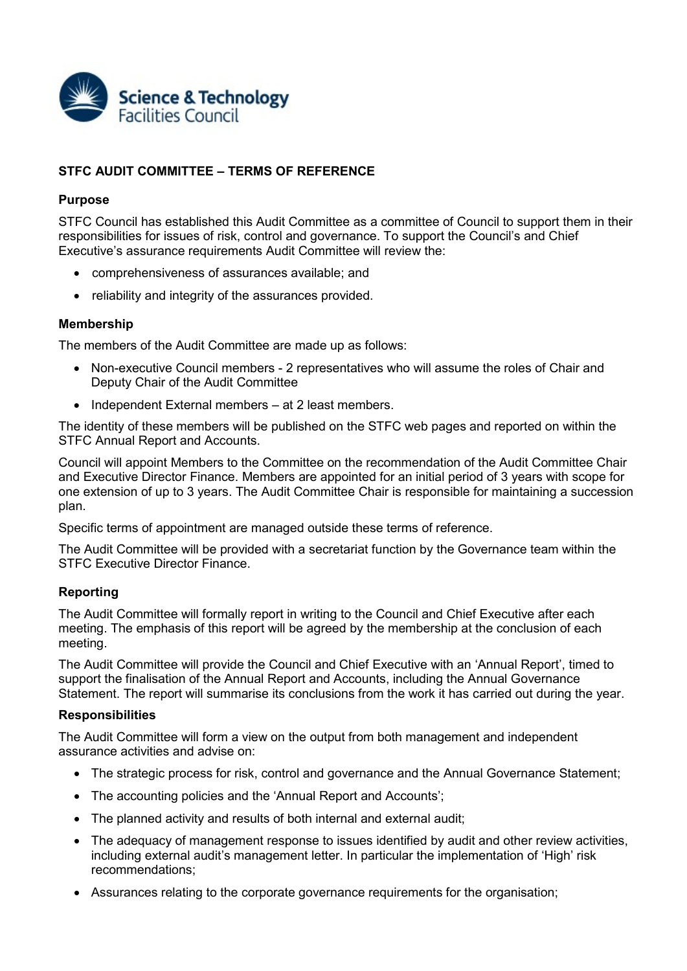

# **STFC AUDIT COMMITTEE – TERMS OF REFERENCE**

### **Purpose**

STFC Council has established this Audit Committee as a committee of Council to support them in their responsibilities for issues of risk, control and governance. To support the Council's and Chief Executive's assurance requirements Audit Committee will review the:

- comprehensiveness of assurances available; and
- reliability and integrity of the assurances provided.

### **Membership**

The members of the Audit Committee are made up as follows:

- Non-executive Council members 2 representatives who will assume the roles of Chair and Deputy Chair of the Audit Committee
- Independent External members at 2 least members.

The identity of these members will be published on the STFC web pages and reported on within the STFC Annual Report and Accounts.

Council will appoint Members to the Committee on the recommendation of the Audit Committee Chair and Executive Director Finance. Members are appointed for an initial period of 3 years with scope for one extension of up to 3 years. The Audit Committee Chair is responsible for maintaining a succession plan.

Specific terms of appointment are managed outside these terms of reference.

The Audit Committee will be provided with a secretariat function by the Governance team within the STFC Executive Director Finance.

### **Reporting**

The Audit Committee will formally report in writing to the Council and Chief Executive after each meeting. The emphasis of this report will be agreed by the membership at the conclusion of each meeting.

The Audit Committee will provide the Council and Chief Executive with an 'Annual Report', timed to support the finalisation of the Annual Report and Accounts, including the Annual Governance Statement. The report will summarise its conclusions from the work it has carried out during the year.

### **Responsibilities**

The Audit Committee will form a view on the output from both management and independent assurance activities and advise on:

- The strategic process for risk, control and governance and the Annual Governance Statement;
- The accounting policies and the 'Annual Report and Accounts';
- The planned activity and results of both internal and external audit;
- The adequacy of management response to issues identified by audit and other review activities, including external audit's management letter. In particular the implementation of 'High' risk recommendations;
- Assurances relating to the corporate governance requirements for the organisation;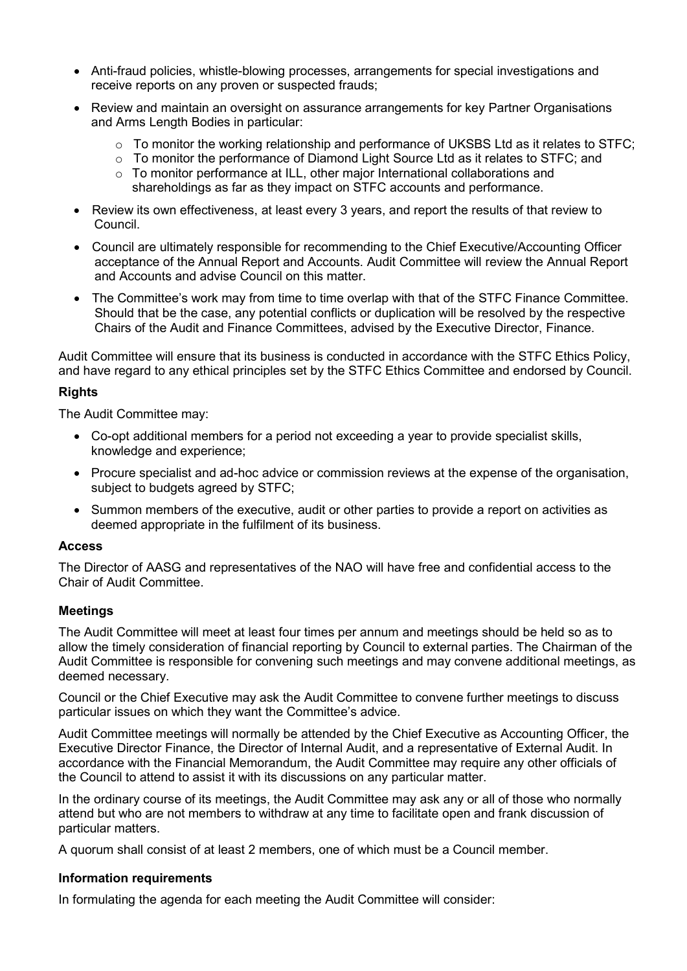- Anti-fraud policies, whistle-blowing processes, arrangements for special investigations and receive reports on any proven or suspected frauds;
- Review and maintain an oversight on assurance arrangements for key Partner Organisations and Arms Length Bodies in particular:
	- o To monitor the working relationship and performance of UKSBS Ltd as it relates to STFC;
	- $\circ$  To monitor the performance of Diamond Light Source Ltd as it relates to STFC; and
	- $\circ$  To monitor performance at ILL, other major International collaborations and shareholdings as far as they impact on STFC accounts and performance.
- Review its own effectiveness, at least every 3 years, and report the results of that review to Council.
- Council are ultimately responsible for recommending to the Chief Executive/Accounting Officer acceptance of the Annual Report and Accounts. Audit Committee will review the Annual Report and Accounts and advise Council on this matter.
- The Committee's work may from time to time overlap with that of the STFC Finance Committee. Should that be the case, any potential conflicts or duplication will be resolved by the respective Chairs of the Audit and Finance Committees, advised by the Executive Director, Finance.

Audit Committee will ensure that its business is conducted in accordance with the STFC Ethics Policy, and have regard to any ethical principles set by the STFC Ethics Committee and endorsed by Council.

## **Rights**

The Audit Committee may:

- Co-opt additional members for a period not exceeding a year to provide specialist skills, knowledge and experience;
- Procure specialist and ad-hoc advice or commission reviews at the expense of the organisation, subject to budgets agreed by STFC;
- Summon members of the executive, audit or other parties to provide a report on activities as deemed appropriate in the fulfilment of its business.

### **Access**

The Director of AASG and representatives of the NAO will have free and confidential access to the Chair of Audit Committee.

### **Meetings**

The Audit Committee will meet at least four times per annum and meetings should be held so as to allow the timely consideration of financial reporting by Council to external parties. The Chairman of the Audit Committee is responsible for convening such meetings and may convene additional meetings, as deemed necessary.

Council or the Chief Executive may ask the Audit Committee to convene further meetings to discuss particular issues on which they want the Committee's advice.

Audit Committee meetings will normally be attended by the Chief Executive as Accounting Officer, the Executive Director Finance, the Director of Internal Audit, and a representative of External Audit. In accordance with the Financial Memorandum, the Audit Committee may require any other officials of the Council to attend to assist it with its discussions on any particular matter.

In the ordinary course of its meetings, the Audit Committee may ask any or all of those who normally attend but who are not members to withdraw at any time to facilitate open and frank discussion of particular matters.

A quorum shall consist of at least 2 members, one of which must be a Council member.

### **Information requirements**

In formulating the agenda for each meeting the Audit Committee will consider: